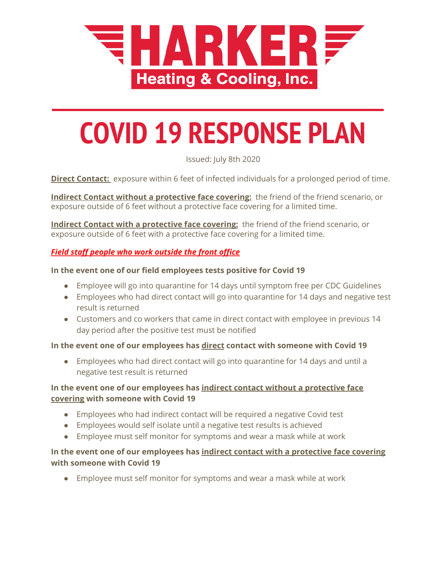

# **COVID 19 RESPONSE PLAN**

Issued: July 8th 2020

**Direct Contact:** exposure within 6 feet of infected individuals for a prolonged period of time.

**Indirect Contact without a protective face covering:** the friend of the friend scenario, or exposure outside of 6 feet without a protective face covering for a limited time.

**Indirect Contact with a protective face covering:** the friend of the friend scenario, or exposure outside of 6 feet with a protective face covering for a limited time.

# *Field staff people who work outside the front office*

#### **In the event one of our field employees tests positive for Covid 19**

- Employee will go into quarantine for 14 days until symptom free per CDC Guidelines
- Employees who had direct contact will go into quarantine for 14 days and negative test result is returned
- Customers and co workers that came in direct contact with employee in previous 14 day period after the positive test must be notified

## **In the event one of our employees has direct contact with someone with Covid 19**

● Employees who had direct contact will go into quarantine for 14 days and until a negative test result is returned

# **In the event one of our employees has indirect contact without a protective face covering with someone with Covid 19**

- Employees who had indirect contact will be required a negative Covid test
- Employees would self isolate until a negative test results is achieved
- Employee must self monitor for symptoms and wear a mask while at work

## **In the event one of our employees has indirect contact with a protective face covering with someone with Covid 19**

● Employee must self monitor for symptoms and wear a mask while at work